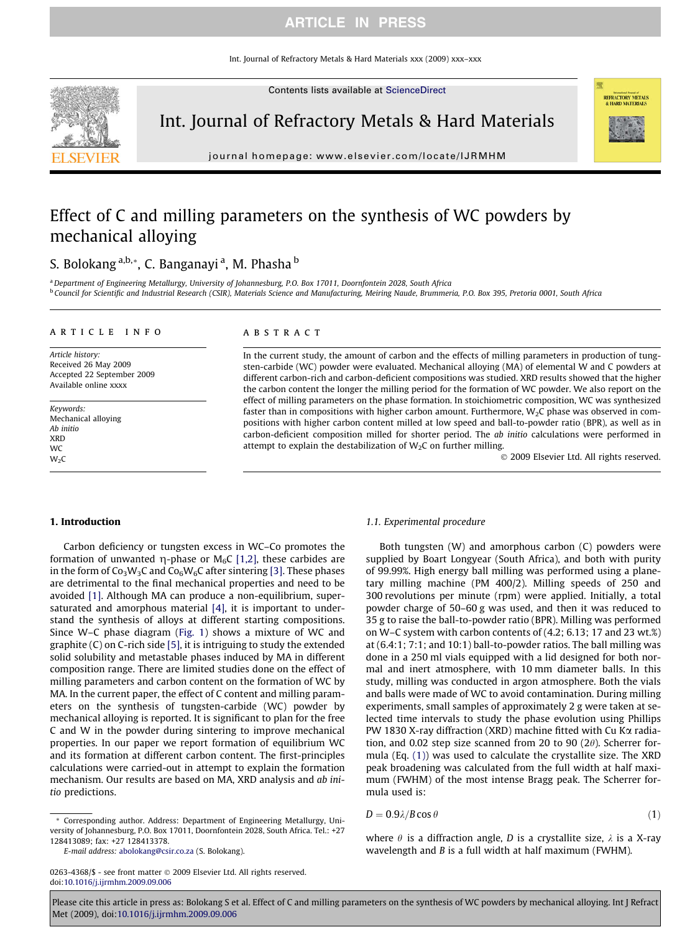# ARTICLE IN PRESS

Int. Journal of Refractory Metals & Hard Materials xxx (2009) xxx–xxx

Contents lists available at [ScienceDirect](http://www.sciencedirect.com/science/journal/02634368)



journal homepage: [www.elsevier.com/locate/IJRMHM](http://www.elsevier.com/locate/IJRMHM)

# Effect of C and milling parameters on the synthesis of WC powders by mechanical alloying

# S. Bolokang <sup>a,b,</sup>\*, C. Banganayi <sup>a</sup>, M. Phasha <sup>b</sup>

a Department of Engineering Metallurgy, University of Johannesburg, P.O. Box 17011, Doornfontein 2028, South Africa <sup>b</sup> Council for Scientific and Industrial Research (CSIR), Materials Science and Manufacturing, Meiring Naude, Brummeria, P.O. Box 395, Pretoria 0001, South Africa

#### article info

Article history: Received 26 May 2009 Accepted 22 September 2009 Available online xxxx

Keywords: Mechanical alloying Ab initio XRD **WC**  $W<sub>2</sub>C$ 

### ABSTRACT

In the current study, the amount of carbon and the effects of milling parameters in production of tungsten-carbide (WC) powder were evaluated. Mechanical alloying (MA) of elemental W and C powders at different carbon-rich and carbon-deficient compositions was studied. XRD results showed that the higher the carbon content the longer the milling period for the formation of WC powder. We also report on the effect of milling parameters on the phase formation. In stoichiometric composition, WC was synthesized faster than in compositions with higher carbon amount. Furthermore,  $W<sub>2</sub>C$  phase was observed in compositions with higher carbon content milled at low speed and ball-to-powder ratio (BPR), as well as in carbon-deficient composition milled for shorter period. The ab initio calculations were performed in attempt to explain the destabilization of  $W_2C$  on further milling.

- 2009 Elsevier Ltd. All rights reserved.

**REFRACTORY METALS** 

# 1. Introduction

Carbon deficiency or tungsten excess in WC–Co promotes the formation of unwanted  $\eta$ -phase or M<sub>6</sub>C [\[1,2\]](#page-5-0), these carbides are in the form of  $Co_3W_3C$  and  $Co_6W_6C$  after sintering [\[3\].](#page-5-0) These phases are detrimental to the final mechanical properties and need to be avoided [\[1\].](#page-5-0) Although MA can produce a non-equilibrium, supersaturated and amorphous material [\[4\]](#page-5-0), it is important to understand the synthesis of alloys at different starting compositions. Since W–C phase diagram [\(Fig. 1](#page-1-0)) shows a mixture of WC and graphite (C) on C-rich side [\[5\]](#page-5-0), it is intriguing to study the extended solid solubility and metastable phases induced by MA in different composition range. There are limited studies done on the effect of milling parameters and carbon content on the formation of WC by MA. In the current paper, the effect of C content and milling parameters on the synthesis of tungsten-carbide (WC) powder by mechanical alloying is reported. It is significant to plan for the free C and W in the powder during sintering to improve mechanical properties. In our paper we report formation of equilibrium WC and its formation at different carbon content. The first-principles calculations were carried-out in attempt to explain the formation mechanism. Our results are based on MA, XRD analysis and ab initio predictions.

#### \* Corresponding author. Address: Department of Engineering Metallurgy, University of Johannesburg, P.O. Box 17011, Doornfontein 2028, South Africa. Tel.: +27 128413089; fax: +27 128413378.

E-mail address: [abolokang@csir.co.za](mailto:abolokang@csir.co.za) (S. Bolokang).

0263-4368/\$ - see front matter © 2009 Elsevier Ltd. All rights reserved. doi[:10.1016/j.ijrmhm.2009.09.006](http://dx.doi.org/10.1016/j.ijrmhm.2009.09.006)

### 1.1. Experimental procedure

Both tungsten (W) and amorphous carbon (C) powders were supplied by Boart Longyear (South Africa), and both with purity of 99.99%. High energy ball milling was performed using a planetary milling machine (PM 400/2). Milling speeds of 250 and 300 revolutions per minute (rpm) were applied. Initially, a total powder charge of 50–60 g was used, and then it was reduced to 35 g to raise the ball-to-powder ratio (BPR). Milling was performed on W–C system with carbon contents of (4.2; 6.13; 17 and 23 wt.%) at (6.4:1; 7:1; and 10:1) ball-to-powder ratios. The ball milling was done in a 250 ml vials equipped with a lid designed for both normal and inert atmosphere, with 10 mm diameter balls. In this study, milling was conducted in argon atmosphere. Both the vials and balls were made of WC to avoid contamination. During milling experiments, small samples of approximately 2 g were taken at selected time intervals to study the phase evolution using Phillips PW 1830 X-ray diffraction (XRD) machine fitted with Cu K $\alpha$  radiation, and 0.02 step size scanned from 20 to 90 (2 $\theta$ ). Scherrer formula (Eq. (1)) was used to calculate the crystallite size. The XRD peak broadening was calculated from the full width at half maximum (FWHM) of the most intense Bragg peak. The Scherrer formula used is:

$$
D = 0.9\lambda/B\cos\theta\tag{1}
$$

where  $\theta$  is a diffraction angle, D is a crystallite size,  $\lambda$  is a X-ray wavelength and B is a full width at half maximum (FWHM).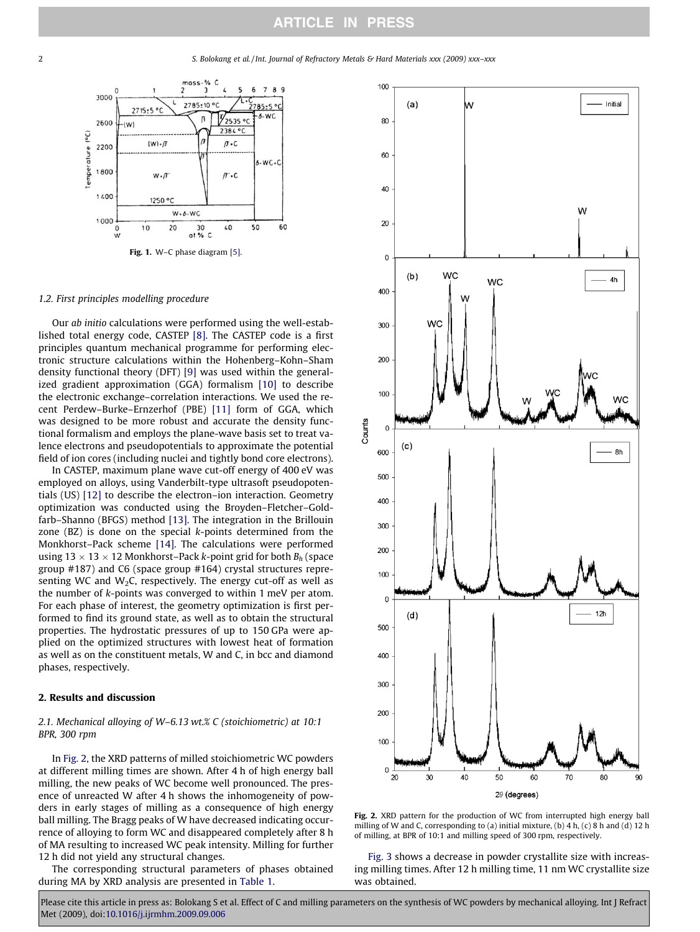#### <span id="page-1-0"></span>2 S. Bolokang et al. / Int. Journal of Refractory Metals & Hard Materials xxx (2009) xxx–xxx



#### 1.2. First principles modelling procedure

Our ab initio calculations were performed using the well-established total energy code, CASTEP [\[8\].](#page-5-0) The CASTEP code is a first principles quantum mechanical programme for performing electronic structure calculations within the Hohenberg–Kohn–Sham density functional theory (DFT) [\[9\]](#page-5-0) was used within the generalized gradient approximation (GGA) formalism [\[10\]](#page-5-0) to describe the electronic exchange–correlation interactions. We used the recent Perdew–Burke–Ernzerhof (PBE) [\[11\]](#page-5-0) form of GGA, which was designed to be more robust and accurate the density functional formalism and employs the plane-wave basis set to treat valence electrons and pseudopotentials to approximate the potential field of ion cores (including nuclei and tightly bond core electrons).

In CASTEP, maximum plane wave cut-off energy of 400 eV was employed on alloys, using Vanderbilt-type ultrasoft pseudopotentials (US) [\[12\]](#page-5-0) to describe the electron–ion interaction. Geometry optimization was conducted using the Broyden–Fletcher–Goldfarb–Shanno (BFGS) method [\[13\]](#page-5-0). The integration in the Brillouin zone (BZ) is done on the special k-points determined from the Monkhorst–Pack scheme [\[14\]](#page-5-0). The calculations were performed using 13  $\times$  13  $\times$  12 Monkhorst–Pack *k*-point grid for both  $B_h$  (space group #187) and C6 (space group #164) crystal structures representing WC and W<sub>2</sub>C, respectively. The energy cut-off as well as the number of k-points was converged to within 1 meV per atom. For each phase of interest, the geometry optimization is first performed to find its ground state, as well as to obtain the structural properties. The hydrostatic pressures of up to 150 GPa were applied on the optimized structures with lowest heat of formation as well as on the constituent metals, W and C, in bcc and diamond phases, respectively.

# 2. Results and discussion

# 2.1. Mechanical alloying of W–6.13 wt.% C (stoichiometric) at 10:1 BPR, 300 rpm

In Fig. 2, the XRD patterns of milled stoichiometric WC powders at different milling times are shown. After 4 h of high energy ball milling, the new peaks of WC become well pronounced. The presence of unreacted W after 4 h shows the inhomogeneity of powders in early stages of milling as a consequence of high energy ball milling. The Bragg peaks of W have decreased indicating occurrence of alloying to form WC and disappeared completely after 8 h of MA resulting to increased WC peak intensity. Milling for further 12 h did not yield any structural changes.

The corresponding structural parameters of phases obtained during MA by XRD analysis are presented in [Table 1](#page-2-0).



Fig. 2. XRD pattern for the production of WC from interrupted high energy ball milling of W and C, corresponding to (a) initial mixture, (b) 4 h, (c) 8 h and (d) 12 h of milling, at BPR of 10:1 and milling speed of 300 rpm, respectively.

[Fig. 3](#page-2-0) shows a decrease in powder crystallite size with increasing milling times. After 12 h milling time, 11 nm WC crystallite size was obtained.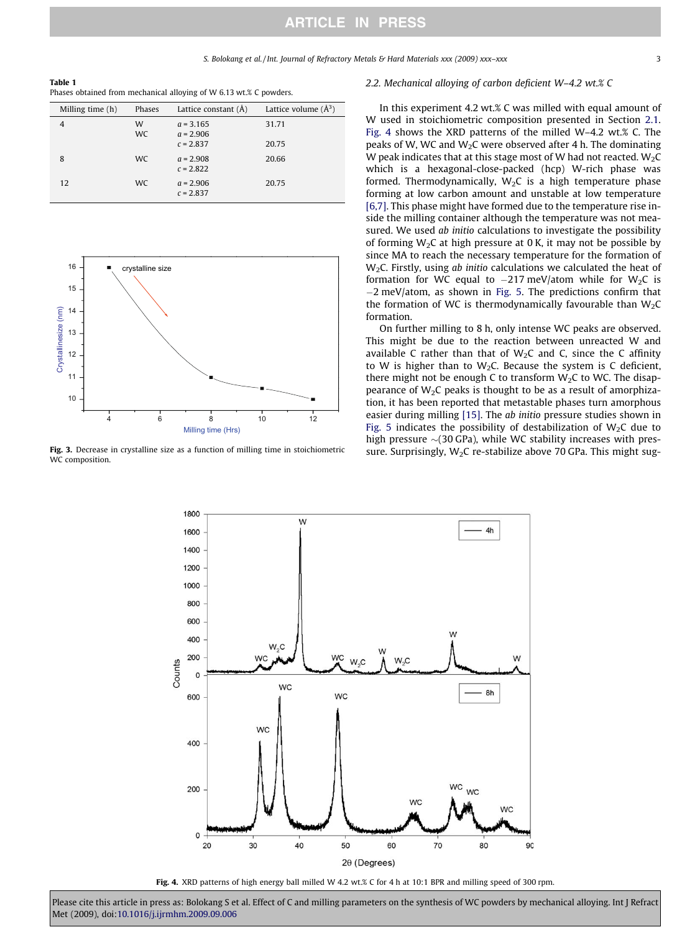<span id="page-2-0"></span>Table 1 Phases obtained from mechanical alloying of W 6.13 wt.% C powders.

| Milling time (h) | Phases         | Lattice constant (Å)                      | Lattice volume $(\AA^3)$ |
|------------------|----------------|-------------------------------------------|--------------------------|
| 4                | W<br><b>WC</b> | $a = 3.165$<br>$a = 2.906$<br>$c = 2.837$ | 31.71<br>20.75           |
| 8                | <b>WC</b>      | $a = 2.908$<br>$c = 2.822$                | 20.66                    |
| 12               | WC.            | $a = 2.906$<br>$c = 2.837$                | 20.75                    |



Fig. 3. Decrease in crystalline size as a function of milling time in stoichiometric WC composition.

### 2.2. Mechanical alloying of carbon deficient W–4.2 wt.% C

In this experiment 4.2 wt.% C was milled with equal amount of W used in stoichiometric composition presented in Section [2.1.](#page-1-0) Fig. 4 shows the XRD patterns of the milled W–4.2 wt.% C. The peaks of W, WC and  $W<sub>2</sub>C$  were observed after 4 h. The dominating W peak indicates that at this stage most of W had not reacted.  $W_2C$ which is a hexagonal-close-packed (hcp) W-rich phase was formed. Thermodynamically,  $W_2C$  is a high temperature phase forming at low carbon amount and unstable at low temperature [\[6,7\].](#page-5-0) This phase might have formed due to the temperature rise inside the milling container although the temperature was not measured. We used ab initio calculations to investigate the possibility of forming  $W_2C$  at high pressure at 0 K, it may not be possible by since MA to reach the necessary temperature for the formation of  $W<sub>2</sub>C$ . Firstly, using ab initio calculations we calculated the heat of formation for WC equal to  $-217$  meV/atom while for W<sub>2</sub>C is  $-2$  meV/atom, as shown in [Fig. 5.](#page-3-0) The predictions confirm that the formation of WC is thermodynamically favourable than  $W_2C$ formation.

On further milling to 8 h, only intense WC peaks are observed. This might be due to the reaction between unreacted W and available C rather than that of  $W<sub>2</sub>C$  and C, since the C affinity to W is higher than to W<sub>2</sub>C. Because the system is C deficient, there might not be enough C to transform  $W<sub>2</sub>C$  to WC. The disappearance of  $W_2C$  peaks is thought to be as a result of amorphization, it has been reported that metastable phases turn amorphous easier during milling [\[15\].](#page-5-0) The ab initio pressure studies shown in [Fig. 5](#page-3-0) indicates the possibility of destabilization of  $W_2C$  due to high pressure  $\sim$ (30 GPa), while WC stability increases with pressure. Surprisingly,  $W_2C$  re-stabilize above 70 GPa. This might sug-



Fig. 4. XRD patterns of high energy ball milled W 4.2 wt.% C for 4 h at 10:1 BPR and milling speed of 300 rpm.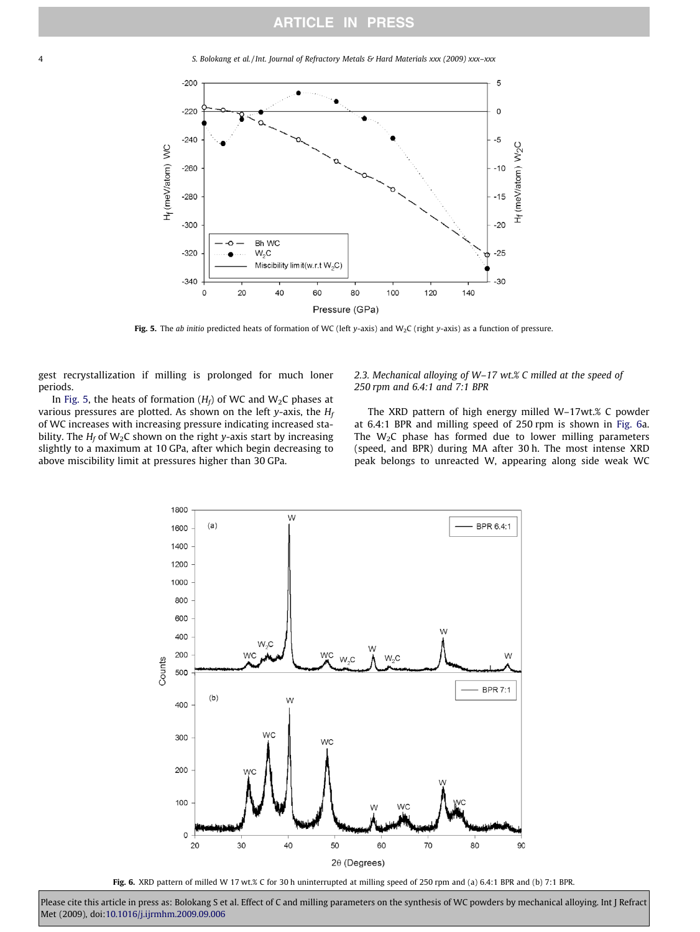<span id="page-3-0"></span>4 S. Bolokang et al. / Int. Journal of Refractory Metals & Hard Materials xxx (2009) xxx–xxx



Fig. 5. The ab initio predicted heats of formation of WC (left y-axis) and W<sub>2</sub>C (right y-axis) as a function of pressure.

gest recrystallization if milling is prolonged for much loner periods.

In Fig. 5, the heats of formation  $(H_f)$  of WC and W<sub>2</sub>C phases at various pressures are plotted. As shown on the left y-axis, the  $H_f$ of WC increases with increasing pressure indicating increased stability. The  $H_f$  of W<sub>2</sub>C shown on the right y-axis start by increasing slightly to a maximum at 10 GPa, after which begin decreasing to above miscibility limit at pressures higher than 30 GPa.

# 2.3. Mechanical alloying of W–17 wt.% C milled at the speed of 250 rpm and 6.4:1 and 7:1 BPR

The XRD pattern of high energy milled W–17wt.% C powder at 6.4:1 BPR and milling speed of 250 rpm is shown in Fig. 6a. The  $W_2C$  phase has formed due to lower milling parameters (speed, and BPR) during MA after 30 h. The most intense XRD peak belongs to unreacted W, appearing along side weak WC



Fig. 6. XRD pattern of milled W 17 wt.% C for 30 h uninterrupted at milling speed of 250 rpm and (a) 6.4:1 BPR and (b) 7:1 BPR.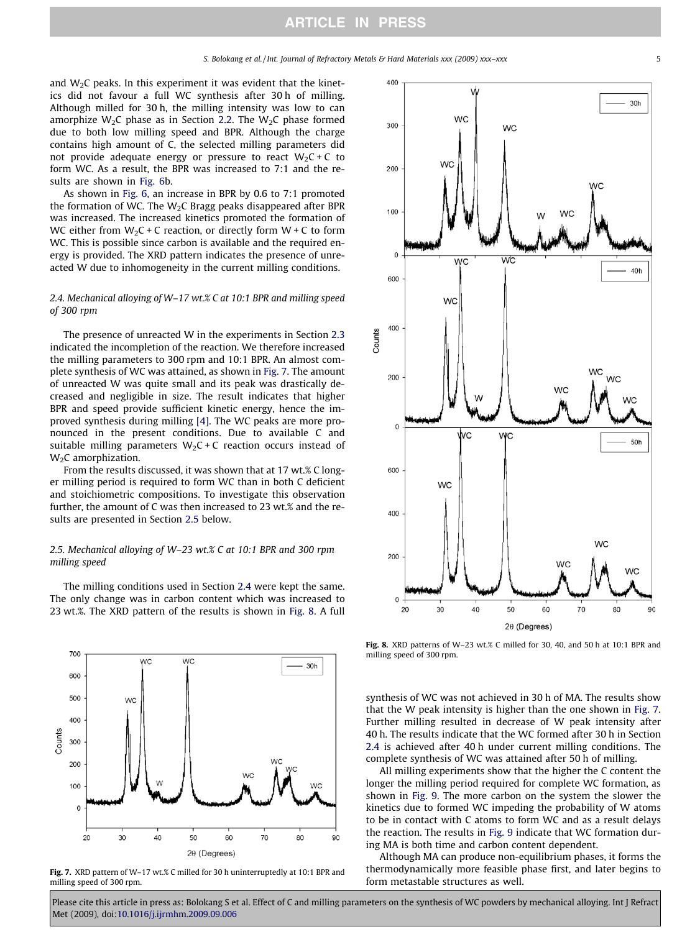and  $W<sub>2</sub>C$  peaks. In this experiment it was evident that the kinetics did not favour a full WC synthesis after 30 h of milling. Although milled for 30 h, the milling intensity was low to can amorphize W<sub>2</sub>C phase as in Section [2.2](#page-2-0). The W<sub>2</sub>C phase formed due to both low milling speed and BPR. Although the charge contains high amount of C, the selected milling parameters did not provide adequate energy or pressure to react  $W_2C + C$  to form WC. As a result, the BPR was increased to 7:1 and the results are shown in [Fig. 6](#page-3-0)b.

As shown in [Fig. 6](#page-3-0), an increase in BPR by 0.6 to 7:1 promoted the formation of WC. The  $W_2C$  Bragg peaks disappeared after BPR was increased. The increased kinetics promoted the formation of WC either from  $W_2C + C$  reaction, or directly form  $W + C$  to form WC. This is possible since carbon is available and the required energy is provided. The XRD pattern indicates the presence of unreacted W due to inhomogeneity in the current milling conditions.

# 2.4. Mechanical alloying of W–17 wt.% C at 10:1 BPR and milling speed of 300 rpm

The presence of unreacted W in the experiments in Section [2.3](#page-3-0) indicated the incompletion of the reaction. We therefore increased the milling parameters to 300 rpm and 10:1 BPR. An almost complete synthesis of WC was attained, as shown in Fig. 7. The amount of unreacted W was quite small and its peak was drastically decreased and negligible in size. The result indicates that higher BPR and speed provide sufficient kinetic energy, hence the improved synthesis during milling [\[4\].](#page-5-0) The WC peaks are more pronounced in the present conditions. Due to available C and suitable milling parameters  $W_2C + C$  reaction occurs instead of W<sub>2</sub>C amorphization.

From the results discussed, it was shown that at 17 wt.% C longer milling period is required to form WC than in both C deficient and stoichiometric compositions. To investigate this observation further, the amount of C was then increased to 23 wt.% and the results are presented in Section 2.5 below.

# 2.5. Mechanical alloying of W–23 wt.% C at 10:1 BPR and 300 rpm milling speed

The milling conditions used in Section 2.4 were kept the same. The only change was in carbon content which was increased to 23 wt.%. The XRD pattern of the results is shown in Fig. 8. A full







Fig. 8. XRD patterns of W–23 wt.% C milled for 30, 40, and 50 h at 10:1 BPR and milling speed of 300 rpm.

synthesis of WC was not achieved in 30 h of MA. The results show that the W peak intensity is higher than the one shown in Fig. 7. Further milling resulted in decrease of W peak intensity after 40 h. The results indicate that the WC formed after 30 h in Section 2.4 is achieved after 40 h under current milling conditions. The complete synthesis of WC was attained after 50 h of milling.

All milling experiments show that the higher the C content the longer the milling period required for complete WC formation, as shown in [Fig. 9](#page-5-0). The more carbon on the system the slower the kinetics due to formed WC impeding the probability of W atoms to be in contact with C atoms to form WC and as a result delays the reaction. The results in [Fig. 9](#page-5-0) indicate that WC formation during MA is both time and carbon content dependent.

Although MA can produce non-equilibrium phases, it forms the thermodynamically more feasible phase first, and later begins to form metastable structures as well.